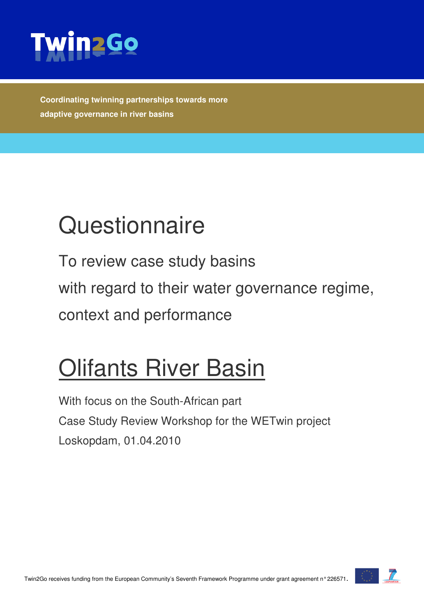

**Coordinating twinning partnerships towards more adaptive governance in river basins** 

# **Questionnaire**

To review case study basins with regard to their water governance regime, context and performance

## Olifants River Basin

With focus on the South-African part Case Study Review Workshop for the WETwin project Loskopdam, 01.04.2010

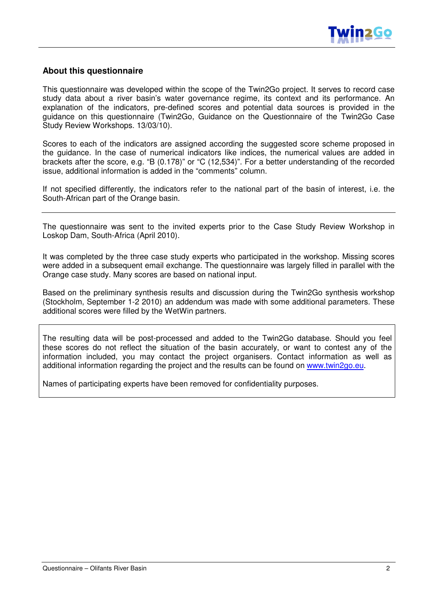

#### **About this questionnaire**

This questionnaire was developed within the scope of the Twin2Go project. It serves to record case study data about a river basin's water governance regime, its context and its performance. An explanation of the indicators, pre-defined scores and potential data sources is provided in the guidance on this questionnaire (Twin2Go, Guidance on the Questionnaire of the Twin2Go Case Study Review Workshops. 13/03/10).

Scores to each of the indicators are assigned according the suggested score scheme proposed in the guidance. In the case of numerical indicators like indices, the numerical values are added in brackets after the score, e.g. "B (0.178)" or "C (12,534)". For a better understanding of the recorded issue, additional information is added in the "comments" column.

If not specified differently, the indicators refer to the national part of the basin of interest, i.e. the South-African part of the Orange basin.

The questionnaire was sent to the invited experts prior to the Case Study Review Workshop in Loskop Dam, South-Africa (April 2010).

It was completed by the three case study experts who participated in the workshop. Missing scores were added in a subsequent email exchange. The questionnaire was largely filled in parallel with the Orange case study. Many scores are based on national input.

Based on the preliminary synthesis results and discussion during the Twin2Go synthesis workshop (Stockholm, September 1-2 2010) an addendum was made with some additional parameters. These additional scores were filled by the WetWin partners.

The resulting data will be post-processed and added to the Twin2Go database. Should you feel these scores do not reflect the situation of the basin accurately, or want to contest any of the information included, you may contact the project organisers. Contact information as well as additional information regarding the project and the results can be found on www.twin2go.eu.

Names of participating experts have been removed for confidentiality purposes.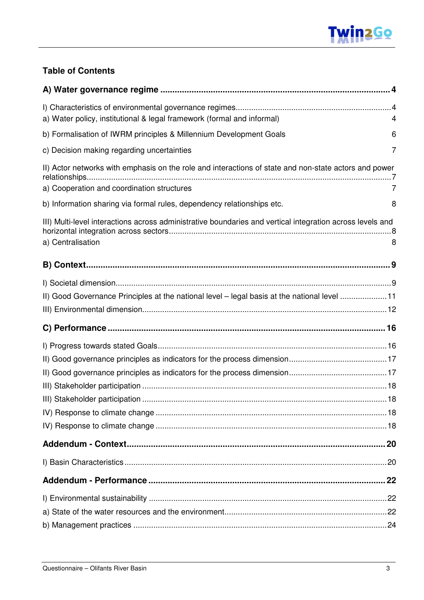

#### **Table of Contents**

| a) Water policy, institutional & legal framework (formal and informal)                                    | 4 |
|-----------------------------------------------------------------------------------------------------------|---|
| b) Formalisation of IWRM principles & Millennium Development Goals                                        | 6 |
| c) Decision making regarding uncertainties                                                                | 7 |
| II) Actor networks with emphasis on the role and interactions of state and non-state actors and power     |   |
| a) Cooperation and coordination structures                                                                | 7 |
| b) Information sharing via formal rules, dependency relationships etc.                                    | 8 |
| III) Multi-level interactions across administrative boundaries and vertical integration across levels and |   |
| a) Centralisation                                                                                         | 8 |
|                                                                                                           |   |
|                                                                                                           |   |
| II) Good Governance Principles at the national level - legal basis at the national level 11               |   |
|                                                                                                           |   |
|                                                                                                           |   |
|                                                                                                           |   |
|                                                                                                           |   |
|                                                                                                           |   |
|                                                                                                           |   |
|                                                                                                           |   |
|                                                                                                           |   |
|                                                                                                           |   |
|                                                                                                           |   |
|                                                                                                           |   |
|                                                                                                           |   |
|                                                                                                           |   |
|                                                                                                           |   |
|                                                                                                           |   |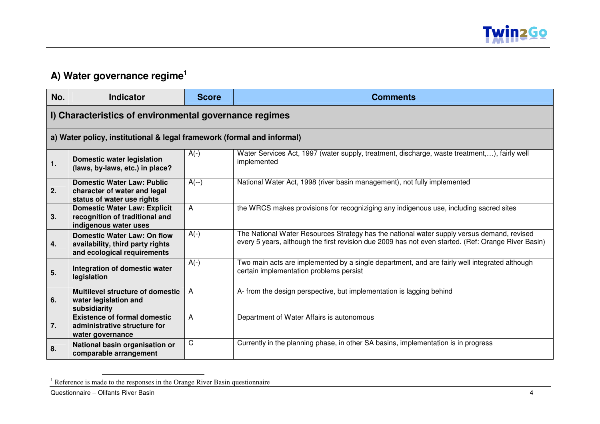

## **A) Water governance regime<sup>1</sup>**

| No. | <b>Indicator</b>                                                                                      | <b>Score</b> | <b>Comments</b>                                                                                                                                                                                   |
|-----|-------------------------------------------------------------------------------------------------------|--------------|---------------------------------------------------------------------------------------------------------------------------------------------------------------------------------------------------|
|     | I) Characteristics of environmental governance regimes                                                |              |                                                                                                                                                                                                   |
|     | a) Water policy, institutional & legal framework (formal and informal)                                |              |                                                                                                                                                                                                   |
| 1.  | <b>Domestic water legislation</b><br>(laws, by-laws, etc.) in place?                                  | $A(-)$       | Water Services Act, 1997 (water supply, treatment, discharge, waste treatment,), fairly well<br>implemented                                                                                       |
| 2.  | <b>Domestic Water Law: Public</b><br>character of water and legal<br>status of water use rights       | $A(-)$       | National Water Act, 1998 (river basin management), not fully implemented                                                                                                                          |
| 3.  | <b>Domestic Water Law: Explicit</b><br>recognition of traditional and<br>indigenous water uses        | A            | the WRCS makes provisions for recogniziging any indigenous use, including sacred sites                                                                                                            |
| 4.  | <b>Domestic Water Law: On flow</b><br>availability, third party rights<br>and ecological requirements | $A(-)$       | The National Water Resources Strategy has the national water supply versus demand, revised<br>every 5 years, although the first revision due 2009 has not even started. (Ref: Orange River Basin) |
| 5.  | Integration of domestic water<br>legislation                                                          | $A(-)$       | Two main acts are implemented by a single department, and are fairly well integrated although<br>certain implementation problems persist                                                          |
| 6.  | <b>Multilevel structure of domestic</b><br>water legislation and<br>subsidiarity                      | A            | A- from the design perspective, but implementation is lagging behind                                                                                                                              |
| 7.  | <b>Existence of formal domestic</b><br>administrative structure for<br>water governance               | A            | Department of Water Affairs is autonomous                                                                                                                                                         |
| 8.  | National basin organisation or<br>comparable arrangement                                              | C            | Currently in the planning phase, in other SA basins, implementation is in progress                                                                                                                |

<sup>&</sup>lt;sup>1</sup> Reference is made to the responses in the Orange River Basin questionnaire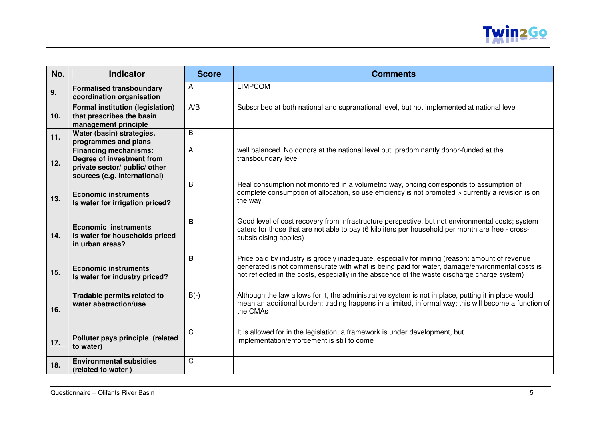

| No.             | <b>Indicator</b>                                                                                                           | <b>Score</b> | <b>Comments</b>                                                                                                                                                                                                                                                                                  |
|-----------------|----------------------------------------------------------------------------------------------------------------------------|--------------|--------------------------------------------------------------------------------------------------------------------------------------------------------------------------------------------------------------------------------------------------------------------------------------------------|
| 9.              | <b>Formalised transboundary</b><br>coordination organisation                                                               | A            | <b>LIMPCOM</b>                                                                                                                                                                                                                                                                                   |
| 10 <sub>1</sub> | <b>Formal institution (legislation)</b><br>that prescribes the basin<br>management principle                               | A/B          | Subscribed at both national and supranational level, but not implemented at national level                                                                                                                                                                                                       |
| 11.             | Water (basin) strategies,<br>programmes and plans                                                                          | B            |                                                                                                                                                                                                                                                                                                  |
| 12.             | <b>Financing mechanisms:</b><br>Degree of investment from<br>private sector/ public/ other<br>sources (e.g. international) | A            | well balanced. No donors at the national level but predominantly donor-funded at the<br>transboundary level                                                                                                                                                                                      |
| 13.             | <b>Economic instruments</b><br>Is water for irrigation priced?                                                             | B            | Real consumption not monitored in a volumetric way, pricing corresponds to assumption of<br>complete consumption of allocation, so use efficiency is not promoted > currently a revision is on<br>the way                                                                                        |
| 14.             | <b>Economic instruments</b><br>Is water for households priced<br>in urban areas?                                           | B            | Good level of cost recovery from infrastructure perspective, but not environmental costs; system<br>caters for those that are not able to pay (6 kiloliters per household per month are free - cross-<br>subsisidising applies)                                                                  |
| 15.             | <b>Economic instruments</b><br>Is water for industry priced?                                                               | B            | Price paid by industry is grocely inadequate, especially for mining (reason: amount of revenue<br>generated is not commensurate with what is being paid for water, damage/environmental costs is<br>not reflected in the costs, especially in the abscence of the waste discharge charge system) |
| 16.             | Tradable permits related to<br>water abstraction/use                                                                       | $B(-)$       | Although the law allows for it, the administrative system is not in place, putting it in place would<br>mean an additional burden; trading happens in a limited, informal way; this will become a function of<br>the CMAs                                                                        |
| 17.             | Polluter pays principle (related<br>to water)                                                                              | C            | It is allowed for in the legislation; a framework is under development, but<br>implementation/enforcement is still to come                                                                                                                                                                       |
| 18.             | <b>Environmental subsidies</b><br>(related to water)                                                                       | C            |                                                                                                                                                                                                                                                                                                  |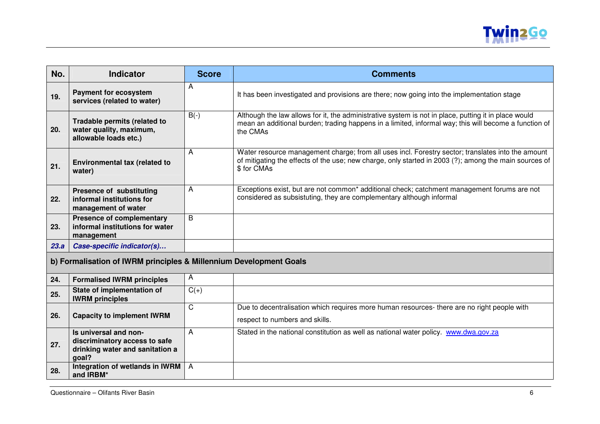

| No.  | <b>Indicator</b>                                                                                   | <b>Score</b>   | <b>Comments</b>                                                                                                                                                                                                           |
|------|----------------------------------------------------------------------------------------------------|----------------|---------------------------------------------------------------------------------------------------------------------------------------------------------------------------------------------------------------------------|
| 19.  | <b>Payment for ecosystem</b><br>services (related to water)                                        | Α              | It has been investigated and provisions are there; now going into the implementation stage                                                                                                                                |
| 20.  | <b>Tradable permits (related to</b><br>water quality, maximum,<br>allowable loads etc.)            | $B(-)$         | Although the law allows for it, the administrative system is not in place, putting it in place would<br>mean an additional burden; trading happens in a limited, informal way; this will become a function of<br>the CMAs |
| 21.  | Environmental tax (related to<br>water)                                                            | A              | Water resource management charge; from all uses incl. Forestry sector; translates into the amount<br>of mitigating the effects of the use; new charge, only started in 2003 (?); among the main sources of<br>\$ for CMAs |
| 22.  | Presence of substituting<br>informal institutions for<br>management of water                       | A              | Exceptions exist, but are not common* additional check; catchment management forums are not<br>considered as subsistuting, they are complementary although informal                                                       |
| 23.  | <b>Presence of complementary</b><br>informal institutions for water<br>management                  | B              |                                                                                                                                                                                                                           |
| 23.a | Case-specific indicator(s)                                                                         |                |                                                                                                                                                                                                                           |
|      | b) Formalisation of IWRM principles & Millennium Development Goals                                 |                |                                                                                                                                                                                                                           |
| 24.  | <b>Formalised IWRM principles</b>                                                                  | A              |                                                                                                                                                                                                                           |
| 25.  | State of implementation of<br><b>IWRM</b> principles                                               | $C(+)$         |                                                                                                                                                                                                                           |
| 26.  | <b>Capacity to implement IWRM</b>                                                                  | C              | Due to decentralisation which requires more human resources- there are no right people with<br>respect to numbers and skills.                                                                                             |
| 27.  | Is universal and non-<br>discriminatory access to safe<br>drinking water and sanitation a<br>goal? | А              | Stated in the national constitution as well as national water policy. www.dwa.gov.za                                                                                                                                      |
| 28.  | Integration of wetlands in IWRM<br>and IRBM*                                                       | $\overline{A}$ |                                                                                                                                                                                                                           |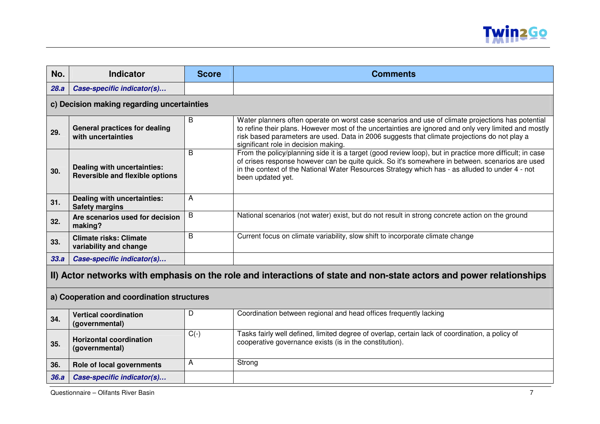

| No.                                                                                                                 | <b>Indicator</b>                                                      | <b>Score</b> | <b>Comments</b>                                                                                                                                                                                                                                                                                                                                    |
|---------------------------------------------------------------------------------------------------------------------|-----------------------------------------------------------------------|--------------|----------------------------------------------------------------------------------------------------------------------------------------------------------------------------------------------------------------------------------------------------------------------------------------------------------------------------------------------------|
| 28.a                                                                                                                | Case-specific indicator(s)                                            |              |                                                                                                                                                                                                                                                                                                                                                    |
|                                                                                                                     | c) Decision making regarding uncertainties                            |              |                                                                                                                                                                                                                                                                                                                                                    |
| 29.                                                                                                                 | <b>General practices for dealing</b><br>with uncertainties            | В            | Water planners often operate on worst case scenarios and use of climate projections has potential<br>to refine their plans. However most of the uncertainties are ignored and only very limited and mostly<br>risk based parameters are used. Data in 2006 suggests that climate projections do not play a<br>significant role in decision making. |
| 30.                                                                                                                 | Dealing with uncertainties:<br><b>Reversible and flexible options</b> | B            | From the policy/planning side it is a target (good review loop), but in practice more difficult; in case<br>of crises response however can be quite quick. So it's somewhere in between. scenarios are used<br>in the context of the National Water Resources Strategy which has - as alluded to under 4 - not<br>been updated yet.                |
| 31.                                                                                                                 | Dealing with uncertainties:<br><b>Safety margins</b>                  | А            |                                                                                                                                                                                                                                                                                                                                                    |
| 32.                                                                                                                 | Are scenarios used for decision<br>making?                            | B            | National scenarios (not water) exist, but do not result in strong concrete action on the ground                                                                                                                                                                                                                                                    |
| 33.                                                                                                                 | <b>Climate risks: Climate</b><br>variability and change               | B            | Current focus on climate variability, slow shift to incorporate climate change                                                                                                                                                                                                                                                                     |
| 33.a                                                                                                                | Case-specific indicator(s)                                            |              |                                                                                                                                                                                                                                                                                                                                                    |
| II) Actor networks with emphasis on the role and interactions of state and non-state actors and power relationships |                                                                       |              |                                                                                                                                                                                                                                                                                                                                                    |
|                                                                                                                     | a) Cooperation and coordination structures                            |              |                                                                                                                                                                                                                                                                                                                                                    |
| 34.                                                                                                                 | <b>Vertical coordination</b><br>(governmental)                        | D            | Coordination between regional and head offices frequently lacking                                                                                                                                                                                                                                                                                  |
| 35.                                                                                                                 | <b>Horizontal coordination</b><br>(governmental)                      | $C(-)$       | Tasks fairly well defined, limited degree of overlap, certain lack of coordination, a policy of<br>cooperative governance exists (is in the constitution).                                                                                                                                                                                         |
| 36.                                                                                                                 | Role of local governments                                             | А            | Strong                                                                                                                                                                                                                                                                                                                                             |
| 36.a                                                                                                                | Case-specific indicator(s)                                            |              |                                                                                                                                                                                                                                                                                                                                                    |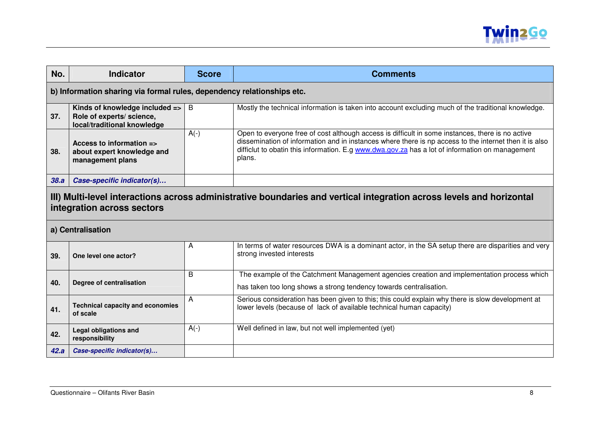

| No.  | <b>Indicator</b>                                                                                                                                   | <b>Score</b> | <b>Comments</b>                                                                                                                                                                                                                                                                                                         |  |
|------|----------------------------------------------------------------------------------------------------------------------------------------------------|--------------|-------------------------------------------------------------------------------------------------------------------------------------------------------------------------------------------------------------------------------------------------------------------------------------------------------------------------|--|
|      | b) Information sharing via formal rules, dependency relationships etc.                                                                             |              |                                                                                                                                                                                                                                                                                                                         |  |
| 37.  | Kinds of knowledge included =><br>Role of experts/ science,<br>local/traditional knowledge                                                         | B            | Mostly the technical information is taken into account excluding much of the traditional knowledge.                                                                                                                                                                                                                     |  |
| 38.  | Access to information $\equiv$<br>about expert knowledge and<br>management plans                                                                   | $A(-)$       | Open to everyone free of cost although access is difficult in some instances, there is no active<br>dissemination of information and in instances where there is np access to the internet then it is also<br>difficlut to obatin this information. E.g www.dwa.gov.za has a lot of information on management<br>plans. |  |
| 38.a | Case-specific indicator(s)                                                                                                                         |              |                                                                                                                                                                                                                                                                                                                         |  |
|      | III) Multi-level interactions across administrative boundaries and vertical integration across levels and horizontal<br>integration across sectors |              |                                                                                                                                                                                                                                                                                                                         |  |
|      | a) Centralisation                                                                                                                                  |              |                                                                                                                                                                                                                                                                                                                         |  |
| 39.  | One level one actor?                                                                                                                               | A            | In terms of water resources DWA is a dominant actor, in the SA setup there are disparities and very<br>strong invested interests                                                                                                                                                                                        |  |
| 40.  | Degree of centralisation                                                                                                                           | B            | The example of the Catchment Management agencies creation and implementation process which<br>has taken too long shows a strong tendency towards centralisation.                                                                                                                                                        |  |
| 41.  | <b>Technical capacity and economies</b><br>of scale                                                                                                | A            | Serious consideration has been given to this; this could explain why there is slow development at<br>lower levels (because of lack of available technical human capacity)                                                                                                                                               |  |
| 42.  | <b>Legal obligations and</b><br>responsibility                                                                                                     | $A(-)$       | Well defined in law, but not well implemented (yet)                                                                                                                                                                                                                                                                     |  |
| 42.a | Case-specific indicator(s)                                                                                                                         |              |                                                                                                                                                                                                                                                                                                                         |  |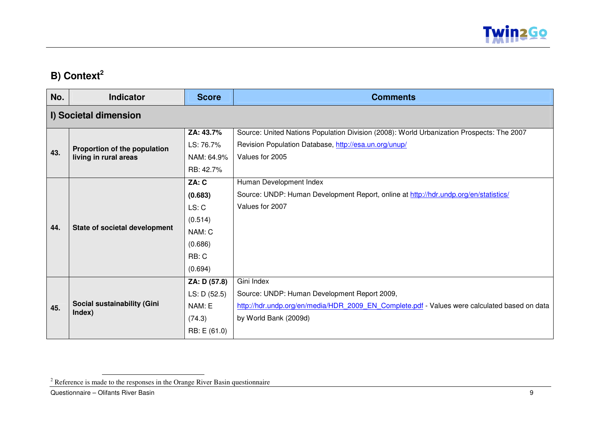

## **B) Context<sup>2</sup>**

| No. | <b>Indicator</b>              | <b>Score</b> | <b>Comments</b>                                                                              |
|-----|-------------------------------|--------------|----------------------------------------------------------------------------------------------|
|     | I) Societal dimension         |              |                                                                                              |
|     |                               | ZA: 43.7%    | Source: United Nations Population Division (2008): World Urbanization Prospects: The 2007    |
|     | Proportion of the population  | LS: 76.7%    | Revision Population Database, http://esa.un.org/unup/                                        |
| 43. | living in rural areas         | NAM: 64.9%   | Values for 2005                                                                              |
|     |                               | RB: 42.7%    |                                                                                              |
|     |                               | ZA: C        | Human Development Index                                                                      |
|     |                               | (0.683)      | Source: UNDP: Human Development Report, online at http://hdr.undp.org/en/statistics/         |
|     | State of societal development | LS: C        | Values for 2007                                                                              |
|     |                               | (0.514)      |                                                                                              |
| 44. |                               | NAM: C       |                                                                                              |
|     |                               | (0.686)      |                                                                                              |
|     |                               | RB: C        |                                                                                              |
|     |                               | (0.694)      |                                                                                              |
|     |                               | ZA: D (57.8) | Gini Index                                                                                   |
|     |                               | LS: D (52.5) | Source: UNDP: Human Development Report 2009,                                                 |
| 45. | Social sustainability (Gini   | NAM: E       | http://hdr.undp.org/en/media/HDR 2009 EN Complete.pdf - Values were calculated based on data |
|     | Index)                        | (74.3)       | by World Bank (2009d)                                                                        |
|     |                               | RB: E (61.0) |                                                                                              |

<sup>&</sup>lt;sup>2</sup> Reference is made to the responses in the Orange River Basin questionnaire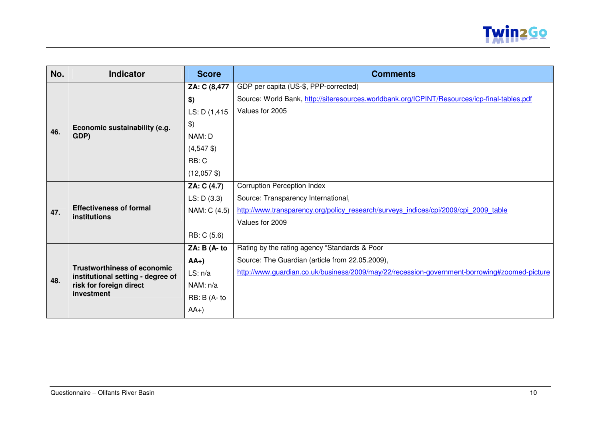

| No. | <b>Indicator</b>                                                        | <b>Score</b>                             | <b>Comments</b>                                                                              |
|-----|-------------------------------------------------------------------------|------------------------------------------|----------------------------------------------------------------------------------------------|
|     |                                                                         | ZA: C (8,477                             | GDP per capita (US-\$, PPP-corrected)                                                        |
|     |                                                                         | \$)                                      | Source: World Bank, http://siteresources.worldbank.org/ICPINT/Resources/icp-final-tables.pdf |
|     |                                                                         | LS: D (1,415)                            | Values for 2005                                                                              |
|     | Economic sustainability (e.g.                                           | $\frac{1}{2}$                            |                                                                                              |
| 46. | GDP)                                                                    | NAM: D                                   |                                                                                              |
|     |                                                                         | $(4,547 \text{ } \text{\textsterling})$  |                                                                                              |
|     |                                                                         | RB: C                                    |                                                                                              |
|     |                                                                         | $(12,057 \text{ } \text{\textsterling})$ |                                                                                              |
|     |                                                                         | ZA: C (4.7)                              | <b>Corruption Perception Index</b>                                                           |
|     | <b>Effectiveness of formal</b><br>institutions                          | LS: D(3.3)                               | Source: Transparency International,                                                          |
| 47. |                                                                         | NAM: C (4.5)                             | http://www.transparency.org/policy research/surveys indices/cpi/2009/cpi 2009 table          |
|     |                                                                         |                                          | Values for 2009                                                                              |
|     |                                                                         | RB: C (5.6)                              |                                                                                              |
|     |                                                                         | ZA: B (A- to                             | Rating by the rating agency "Standards & Poor                                                |
|     |                                                                         | $AA+)$                                   | Source: The Guardian (article from 22.05.2009),                                              |
|     | <b>Trustworthiness of economic</b><br>institutional setting - degree of | LS: n/a                                  | http://www.guardian.co.uk/business/2009/may/22/recession-government-borrowing#zoomed-picture |
| 48. | risk for foreign direct                                                 | NAM: n/a                                 |                                                                                              |
|     | investment                                                              | RB: B (A- to                             |                                                                                              |
|     |                                                                         | $AA+)$                                   |                                                                                              |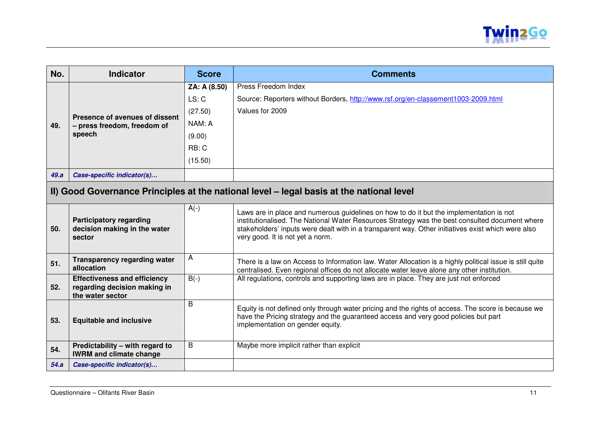

| No.  | <b>Indicator</b>                                                                         | <b>Score</b> | <b>Comments</b>                                                                                                                                                                                                                                                                                                                     |  |
|------|------------------------------------------------------------------------------------------|--------------|-------------------------------------------------------------------------------------------------------------------------------------------------------------------------------------------------------------------------------------------------------------------------------------------------------------------------------------|--|
|      |                                                                                          | ZA: A (8.50) | Press Freedom Index                                                                                                                                                                                                                                                                                                                 |  |
|      |                                                                                          | LS: C        | Source: Reporters without Borders, http://www.rsf.org/en-classement1003-2009.html                                                                                                                                                                                                                                                   |  |
|      | Presence of avenues of dissent                                                           | (27.50)      | Values for 2009                                                                                                                                                                                                                                                                                                                     |  |
| 49.  | - press freedom, freedom of                                                              | NAM: A       |                                                                                                                                                                                                                                                                                                                                     |  |
|      | speech                                                                                   | (9.00)       |                                                                                                                                                                                                                                                                                                                                     |  |
|      |                                                                                          | RB: C        |                                                                                                                                                                                                                                                                                                                                     |  |
|      |                                                                                          | (15.50)      |                                                                                                                                                                                                                                                                                                                                     |  |
| 49.a | Case-specific indicator(s)                                                               |              |                                                                                                                                                                                                                                                                                                                                     |  |
|      | II) Good Governance Principles at the national level – legal basis at the national level |              |                                                                                                                                                                                                                                                                                                                                     |  |
| 50.  | <b>Participatory regarding</b><br>decision making in the water<br>sector                 | $A(-)$       | Laws are in place and numerous guidelines on how to do it but the implementation is not<br>institutionalised. The National Water Resources Strategy was the best consulted document where<br>stakeholders' inputs were dealt with in a transparent way. Other initiatives exist which were also<br>very good. It is not yet a norm. |  |
| 51.  | <b>Transparency regarding water</b><br>allocation                                        | A            | There is a law on Access to Information law. Water Allocation is a highly political issue is still quite<br>centralised. Even regional offices do not allocate water leave alone any other institution.                                                                                                                             |  |
| 52.  | <b>Effectiveness and efficiency</b><br>regarding decision making in<br>the water sector  | $B(-)$       | All regulations, controls and supporting laws are in place. They are just not enforced                                                                                                                                                                                                                                              |  |
| 53.  | <b>Equitable and inclusive</b>                                                           | B            | Equity is not defined only through water pricing and the rights of access. The score is because we<br>have the Pricing strategy and the guaranteed access and very good policies but part<br>implementation on gender equity.                                                                                                       |  |
| 54.  | Predictability - with regard to<br><b>IWRM and climate change</b>                        | B            | Maybe more implicit rather than explicit                                                                                                                                                                                                                                                                                            |  |
| 54.a | Case-specific indicator(s)                                                               |              |                                                                                                                                                                                                                                                                                                                                     |  |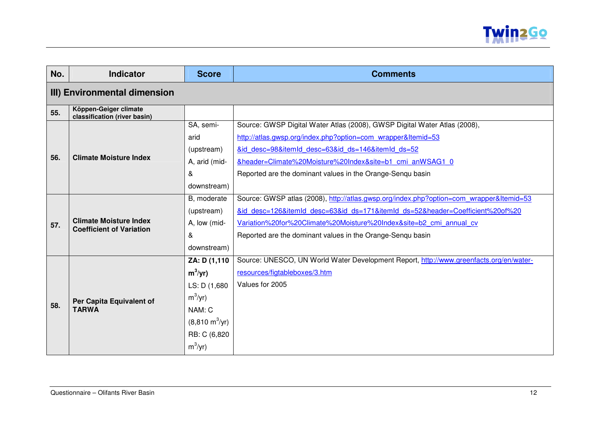

| No. | <b>Indicator</b>                                                 | <b>Score</b>                    | <b>Comments</b>                                                                         |  |  |
|-----|------------------------------------------------------------------|---------------------------------|-----------------------------------------------------------------------------------------|--|--|
|     | III) Environmental dimension                                     |                                 |                                                                                         |  |  |
| 55. | Köppen-Geiger climate<br>classification (river basin)            |                                 |                                                                                         |  |  |
|     |                                                                  | SA, semi-                       | Source: GWSP Digital Water Atlas (2008), GWSP Digital Water Atlas (2008),               |  |  |
|     |                                                                  | arid                            | http://atlas.gwsp.org/index.php?option=com wrapper&Itemid=53                            |  |  |
|     |                                                                  | (upstream)                      | &id desc=98&itemId desc=63&id ds=146&itemId ds=52                                       |  |  |
| 56. | <b>Climate Moisture Index</b>                                    | A, arid (mid-                   | &header=Climate%20Moisture%20Index&site=b1 cmi anWSAG1 0                                |  |  |
|     |                                                                  | &                               | Reported are the dominant values in the Orange-Senqu basin                              |  |  |
|     |                                                                  | downstream)                     |                                                                                         |  |  |
|     |                                                                  | B, moderate                     | Source: GWSP atlas (2008), http://atlas.gwsp.org/index.php?option=com_wrapper&Itemid=53 |  |  |
|     | <b>Climate Moisture Index</b><br><b>Coefficient of Variation</b> | (upstream)                      | &id desc=126&itemId desc=63&id ds=171&itemId ds=52&header=Coefficient%20of%20           |  |  |
| 57. |                                                                  | A, low (mid-                    | Variation%20for%20Climate%20Moisture%20Index&site=b2 cmi annual cv                      |  |  |
|     |                                                                  | &                               | Reported are the dominant values in the Orange-Senqu basin                              |  |  |
|     |                                                                  | downstream)                     |                                                                                         |  |  |
|     |                                                                  | ZA: D (1,110                    | Source: UNESCO, UN World Water Development Report, http://www.greenfacts.org/en/water-  |  |  |
|     |                                                                  | $m^3/yr$ )                      | resources/figtableboxes/3.htm                                                           |  |  |
|     |                                                                  | LS: D (1,680)                   | Values for 2005                                                                         |  |  |
|     | Per Capita Equivalent of                                         | $m^3/yr$ )                      |                                                                                         |  |  |
| 58. | <b>TARWA</b>                                                     | NAM: C                          |                                                                                         |  |  |
|     |                                                                  | $(8,810 \text{ m}^3/\text{yr})$ |                                                                                         |  |  |
|     |                                                                  | RB: C (6,820                    |                                                                                         |  |  |
|     |                                                                  | $m^3/yr$ )                      |                                                                                         |  |  |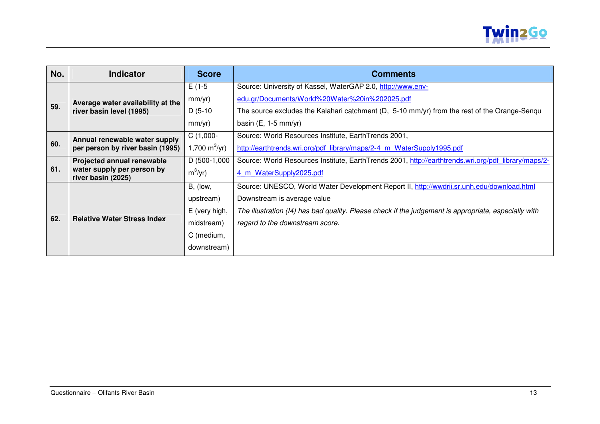

| No. | <b>Indicator</b>                                 | <b>Score</b>              | <b>Comments</b>                                                                                      |
|-----|--------------------------------------------------|---------------------------|------------------------------------------------------------------------------------------------------|
|     | Average water availability at the                | $E(1-5)$                  | Source: University of Kassel, WaterGAP 2.0, http://www.env-                                          |
|     |                                                  | mm/yr)                    | edu.gr/Documents/World%20Water%20in%202025.pdf                                                       |
| 59. | river basin level (1995)                         | $D(5-10)$                 | The source excludes the Kalahari catchment (D, 5-10 mm/yr) from the rest of the Orange-Senqu         |
|     |                                                  | mm/yr)                    | basin $(E, 1-5$ mm/yr)                                                                               |
|     | Annual renewable water supply                    | $C(1,000-$                | Source: World Resources Institute, EarthTrends 2001,                                                 |
| 60. | per person by river basin (1995)                 | 1,700 m <sup>3</sup> /yr) | http://earthtrends.wri.org/pdf library/maps/2-4 m WaterSupply1995.pdf                                |
|     | Projected annual renewable                       | D (500-1,000              | Source: World Resources Institute, EarthTrends 2001, http://earthtrends.wri.org/pdf library/maps/2-  |
| 61. | water supply per person by<br>river basin (2025) | $m^3/yr$ )                | 4 m WaterSupply2025.pdf                                                                              |
|     |                                                  | B, (low,                  | Source: UNESCO, World Water Development Report II, http://wwdrii.sr.unh.edu/download.html            |
|     |                                                  | upstream)                 | Downstream is average value                                                                          |
|     |                                                  | E (very high,             | The illustration (I4) has bad quality. Please check if the judgement is appropriate, especially with |
| 62. | <b>Relative Water Stress Index</b>               | midstream)                | regard to the downstream score.                                                                      |
|     |                                                  | C (medium,                |                                                                                                      |
|     |                                                  | downstream)               |                                                                                                      |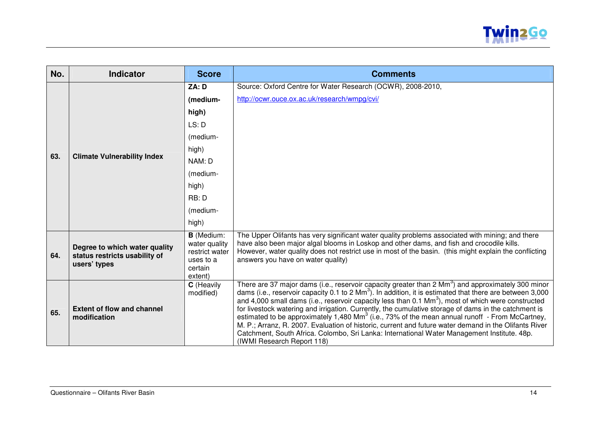

| No. | <b>Indicator</b>                                                               | <b>Score</b>                                                                            | <b>Comments</b>                                                                                                                                                                                                                                                                                                                                                                                                                                                                                                                                                                                                                                                                                                                                                                                                    |
|-----|--------------------------------------------------------------------------------|-----------------------------------------------------------------------------------------|--------------------------------------------------------------------------------------------------------------------------------------------------------------------------------------------------------------------------------------------------------------------------------------------------------------------------------------------------------------------------------------------------------------------------------------------------------------------------------------------------------------------------------------------------------------------------------------------------------------------------------------------------------------------------------------------------------------------------------------------------------------------------------------------------------------------|
|     |                                                                                | ZA: D                                                                                   | Source: Oxford Centre for Water Research (OCWR), 2008-2010,                                                                                                                                                                                                                                                                                                                                                                                                                                                                                                                                                                                                                                                                                                                                                        |
|     |                                                                                | (medium-                                                                                | http://ocwr.ouce.ox.ac.uk/research/wmpg/cvi/                                                                                                                                                                                                                                                                                                                                                                                                                                                                                                                                                                                                                                                                                                                                                                       |
|     |                                                                                | high)                                                                                   |                                                                                                                                                                                                                                                                                                                                                                                                                                                                                                                                                                                                                                                                                                                                                                                                                    |
|     |                                                                                | LS: D                                                                                   |                                                                                                                                                                                                                                                                                                                                                                                                                                                                                                                                                                                                                                                                                                                                                                                                                    |
|     |                                                                                | (medium-                                                                                |                                                                                                                                                                                                                                                                                                                                                                                                                                                                                                                                                                                                                                                                                                                                                                                                                    |
|     |                                                                                | high)                                                                                   |                                                                                                                                                                                                                                                                                                                                                                                                                                                                                                                                                                                                                                                                                                                                                                                                                    |
| 63. | <b>Climate Vulnerability Index</b>                                             | NAM: D                                                                                  |                                                                                                                                                                                                                                                                                                                                                                                                                                                                                                                                                                                                                                                                                                                                                                                                                    |
|     |                                                                                | (medium-                                                                                |                                                                                                                                                                                                                                                                                                                                                                                                                                                                                                                                                                                                                                                                                                                                                                                                                    |
|     |                                                                                | high)                                                                                   |                                                                                                                                                                                                                                                                                                                                                                                                                                                                                                                                                                                                                                                                                                                                                                                                                    |
|     |                                                                                | RB: D                                                                                   |                                                                                                                                                                                                                                                                                                                                                                                                                                                                                                                                                                                                                                                                                                                                                                                                                    |
|     |                                                                                | (medium-                                                                                |                                                                                                                                                                                                                                                                                                                                                                                                                                                                                                                                                                                                                                                                                                                                                                                                                    |
|     |                                                                                | high)                                                                                   |                                                                                                                                                                                                                                                                                                                                                                                                                                                                                                                                                                                                                                                                                                                                                                                                                    |
| 64. | Degree to which water quality<br>status restricts usability of<br>users' types | <b>B</b> (Medium:<br>water quality<br>restrict water<br>uses to a<br>certain<br>extent) | The Upper Olifants has very significant water quality problems associated with mining; and there<br>have also been major algal blooms in Loskop and other dams, and fish and crocodile kills.<br>However, water quality does not restrict use in most of the basin. (this might explain the conflicting<br>answers you have on water quality)                                                                                                                                                                                                                                                                                                                                                                                                                                                                      |
| 65. | <b>Extent of flow and channel</b><br>modification                              | C (Heavily<br>modified)                                                                 | There are 37 major dams (i.e., reservoir capacity greater than 2 Mm <sup>3</sup> ) and approximately 300 minor<br>dams (i.e., reservoir capacity 0.1 to 2 Mm <sup>3</sup> ). In addition, it is estimated that there are between 3,000<br>and 4,000 small dams (i.e., reservoir capacity less than 0.1 $\text{Mm}^3$ ), most of which were constructed<br>for livestock watering and irrigation. Currently, the cumulative storage of dams in the catchment is<br>estimated to be approximately 1,480 Mm <sup>3</sup> (i.e., 73% of the mean annual runoff - From McCartney,<br>M. P.; Arranz, R. 2007. Evaluation of historic, current and future water demand in the Olifants River<br>Catchment, South Africa. Colombo, Sri Lanka: International Water Management Institute. 48p.<br>(IWMI Research Report 118) |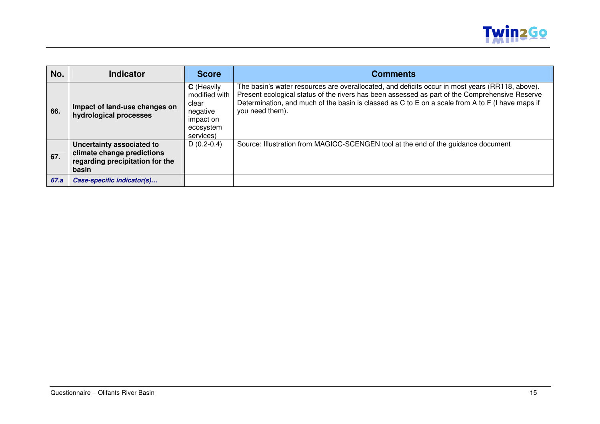

| No.  | <b>Indicator</b>                                                                                    | <b>Score</b>                                                                            | <b>Comments</b>                                                                                                                                                                                                                                                                                                          |
|------|-----------------------------------------------------------------------------------------------------|-----------------------------------------------------------------------------------------|--------------------------------------------------------------------------------------------------------------------------------------------------------------------------------------------------------------------------------------------------------------------------------------------------------------------------|
| 66.  | Impact of land-use changes on<br>hydrological processes                                             | C (Heavily<br>modified with<br>clear<br>negative<br>impact on<br>ecosystem<br>services) | The basin's water resources are overallocated, and deficits occur in most years (RR118, above).<br>Present ecological status of the rivers has been assessed as part of the Comprehensive Reserve<br>Determination, and much of the basin is classed as C to E on a scale from A to F (I have maps if<br>you need them). |
| 67.  | Uncertainty associated to<br>climate change predictions<br>regarding precipitation for the<br>basin | $D(0.2-0.4)$                                                                            | Source: Illustration from MAGICC-SCENGEN tool at the end of the guidance document                                                                                                                                                                                                                                        |
| 67.a | Case-specific indicator(s)                                                                          |                                                                                         |                                                                                                                                                                                                                                                                                                                          |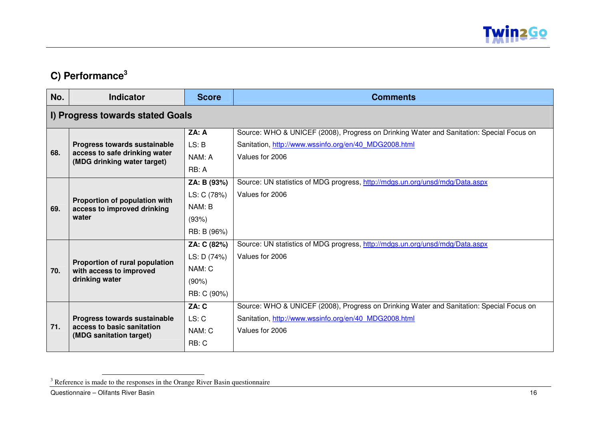

## **C) Performance<sup>3</sup>**

| No. | <b>Indicator</b>                                             | <b>Score</b> | <b>Comments</b>                                                                          |  |  |  |
|-----|--------------------------------------------------------------|--------------|------------------------------------------------------------------------------------------|--|--|--|
|     | I) Progress towards stated Goals                             |              |                                                                                          |  |  |  |
|     |                                                              | ZA: A        | Source: WHO & UNICEF (2008), Progress on Drinking Water and Sanitation: Special Focus on |  |  |  |
|     | <b>Progress towards sustainable</b>                          | LS: B        | Sanitation, http://www.wssinfo.org/en/40 MDG2008.html                                    |  |  |  |
| 68. | access to safe drinking water<br>(MDG drinking water target) | NAM: A       | Values for 2006                                                                          |  |  |  |
|     |                                                              | RB: A        |                                                                                          |  |  |  |
|     |                                                              | ZA: B (93%)  | Source: UN statistics of MDG progress, http://mdgs.un.org/unsd/mdg/Data.aspx             |  |  |  |
|     |                                                              | LS: C (78%)  | Values for 2006                                                                          |  |  |  |
| 69. | Proportion of population with<br>access to improved drinking | NAM: B       |                                                                                          |  |  |  |
|     | water                                                        | (93%)        |                                                                                          |  |  |  |
|     |                                                              | RB: B (96%)  |                                                                                          |  |  |  |
|     |                                                              | ZA: C (82%)  | Source: UN statistics of MDG progress, http://mdgs.un.org/unsd/mdg/Data.aspx             |  |  |  |
|     |                                                              | LS: D (74%)  | Values for 2006                                                                          |  |  |  |
| 70. | Proportion of rural population<br>with access to improved    | NAM: C       |                                                                                          |  |  |  |
|     | drinking water                                               | (90%)        |                                                                                          |  |  |  |
|     |                                                              | RB: C (90%)  |                                                                                          |  |  |  |
|     |                                                              | ZA: C        | Source: WHO & UNICEF (2008), Progress on Drinking Water and Sanitation: Special Focus on |  |  |  |
|     | Progress towards sustainable                                 | LS: C        | Sanitation, http://www.wssinfo.org/en/40 MDG2008.html                                    |  |  |  |
| 71. | access to basic sanitation                                   | NAM: C       | Values for 2006                                                                          |  |  |  |
|     | (MDG sanitation target)                                      | RB: C        |                                                                                          |  |  |  |

<sup>&</sup>lt;sup>3</sup> Reference is made to the responses in the Orange River Basin questionnaire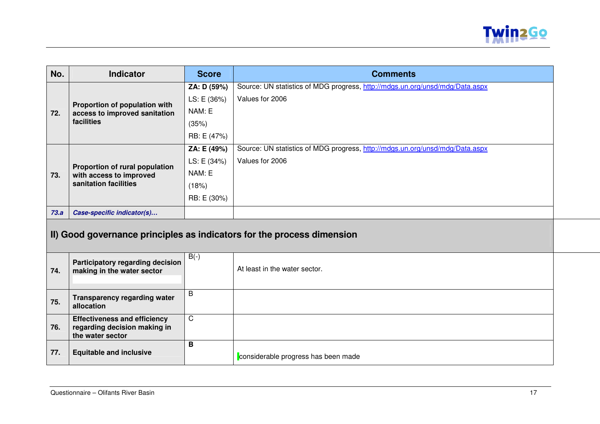

| No.                                                                    | <b>Indicator</b>                                                                        | <b>Score</b> | <b>Comments</b>                                                              |  |
|------------------------------------------------------------------------|-----------------------------------------------------------------------------------------|--------------|------------------------------------------------------------------------------|--|
|                                                                        |                                                                                         | ZA: D (59%)  | Source: UN statistics of MDG progress, http://mdgs.un.org/unsd/mdg/Data.aspx |  |
|                                                                        | Proportion of population with                                                           | LS: E (36%)  | Values for 2006                                                              |  |
| 72.                                                                    | access to improved sanitation                                                           | NAM: E       |                                                                              |  |
|                                                                        | facilities                                                                              | (35%)        |                                                                              |  |
|                                                                        |                                                                                         | RB: E (47%)  |                                                                              |  |
|                                                                        |                                                                                         | ZA: E (49%)  | Source: UN statistics of MDG progress, http://mdgs.un.org/unsd/mdg/Data.aspx |  |
|                                                                        | Proportion of rural population                                                          | LS: E (34%)  | Values for 2006                                                              |  |
| 73.                                                                    | with access to improved                                                                 | NAM: E       |                                                                              |  |
|                                                                        | sanitation facilities                                                                   | (18%)        |                                                                              |  |
|                                                                        |                                                                                         | RB: E (30%)  |                                                                              |  |
| 73.a                                                                   | Case-specific indicator(s)                                                              |              |                                                                              |  |
| II) Good governance principles as indicators for the process dimension |                                                                                         |              |                                                                              |  |
| 74.                                                                    | Participatory regarding decision<br>making in the water sector                          | $B(-)$       | At least in the water sector.                                                |  |
| 75.                                                                    | <b>Transparency regarding water</b><br>allocation                                       | B            |                                                                              |  |
| 76.                                                                    | <b>Effectiveness and efficiency</b><br>regarding decision making in<br>the water sector | $\mathsf C$  |                                                                              |  |
| 77.                                                                    | <b>Equitable and inclusive</b>                                                          | B            | considerable progress has been made                                          |  |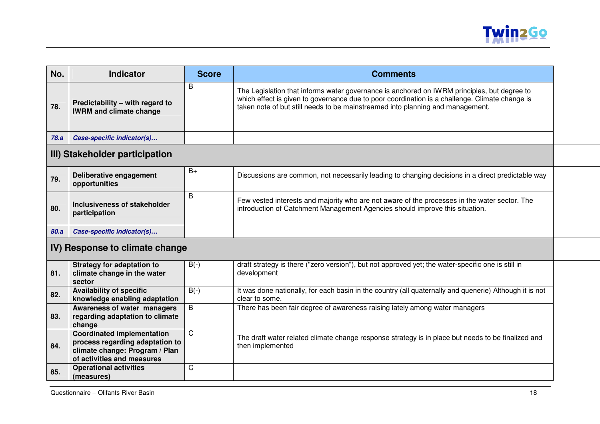

| No.                                   | <b>Indicator</b>                                                  | <b>Score</b> | <b>Comments</b>                                                                                                                                                                                                                                                                 |  |
|---------------------------------------|-------------------------------------------------------------------|--------------|---------------------------------------------------------------------------------------------------------------------------------------------------------------------------------------------------------------------------------------------------------------------------------|--|
| 78.                                   | Predictability – with regard to<br><b>IWRM and climate change</b> | B            | The Legislation that informs water governance is anchored on IWRM principles, but degree to<br>which effect is given to governance due to poor coordination is a challenge. Climate change is<br>taken note of but still needs to be mainstreamed into planning and management. |  |
| 78.a                                  | Case-specific indicator(s)                                        |              |                                                                                                                                                                                                                                                                                 |  |
|                                       | III) Stakeholder participation                                    |              |                                                                                                                                                                                                                                                                                 |  |
| 79.                                   | Deliberative engagement<br>opportunities                          | $B+$         | Discussions are common, not necessarily leading to changing decisions in a direct predictable way                                                                                                                                                                               |  |
| 80.                                   | Inclusiveness of stakeholder<br>participation                     | B            | Few vested interests and majority who are not aware of the processes in the water sector. The<br>introduction of Catchment Management Agencies should improve this situation.                                                                                                   |  |
| 80.a                                  | Case-specific indicator(s)                                        |              |                                                                                                                                                                                                                                                                                 |  |
| <u>IV) Response to climate change</u> |                                                                   |              |                                                                                                                                                                                                                                                                                 |  |

#### **IV) Response to climate change**

| 81. | <b>Strategy for adaptation to</b><br>climate change in the water<br>sector                                                           | $B(-)$ | draft strategy is there ("zero version"), but not approved yet; the water-specific one is still in<br>development         |
|-----|--------------------------------------------------------------------------------------------------------------------------------------|--------|---------------------------------------------------------------------------------------------------------------------------|
| 82. | <b>Availability of specific</b><br>knowledge enabling adaptation                                                                     | $B(-)$ | It was done nationally, for each basin in the country (all quaternally and quenerie) Although it is not<br>clear to some. |
| 83. | Awareness of water managers<br>regarding adaptation to climate<br>change                                                             | B      | There has been fair degree of awareness raising lately among water managers                                               |
| 84. | <b>Coordinated implementation</b><br>process regarding adaptation to<br>climate change: Program / Plan<br>of activities and measures | С      | The draft water related climate change response strategy is in place but needs to be finalized and<br>then implemented    |
| 85. | <b>Operational activities</b><br>(measures)                                                                                          | C      |                                                                                                                           |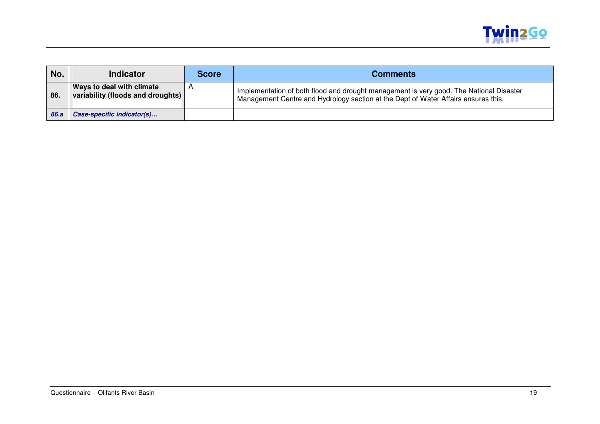

| No.  | <b>Indicator</b>                                               | <b>Score</b> | <b>Comments</b>                                                                                                                                                               |
|------|----------------------------------------------------------------|--------------|-------------------------------------------------------------------------------------------------------------------------------------------------------------------------------|
| 86.  | Ways to deal with climate<br>variability (floods and droughts) | $\mathsf{H}$ | Implementation of both flood and drought management is very good. The National Disaster<br>Management Centre and Hydrology section at the Dept of Water Affairs ensures this. |
| 86.a | Case-specific indicator(s)                                     |              |                                                                                                                                                                               |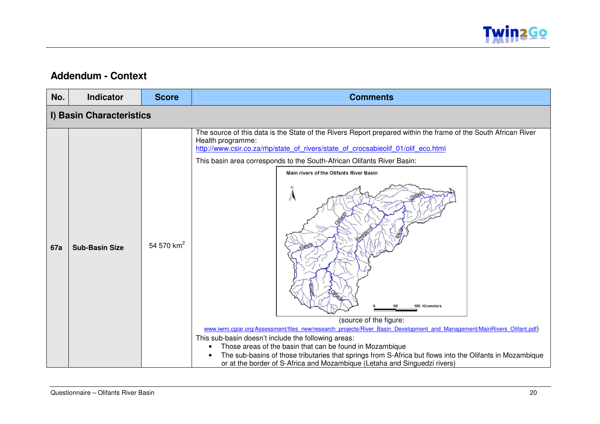

### **Addendum - Context**

| No.        | <b>Indicator</b>         | <b>Score</b>           | <b>Comments</b>                                                                                                                                                                                                                                                                                                                                                                                                                                                                                                                                                                                                                                                                                                                                                                                                                        |  |  |  |
|------------|--------------------------|------------------------|----------------------------------------------------------------------------------------------------------------------------------------------------------------------------------------------------------------------------------------------------------------------------------------------------------------------------------------------------------------------------------------------------------------------------------------------------------------------------------------------------------------------------------------------------------------------------------------------------------------------------------------------------------------------------------------------------------------------------------------------------------------------------------------------------------------------------------------|--|--|--|
|            | I) Basin Characteristics |                        |                                                                                                                                                                                                                                                                                                                                                                                                                                                                                                                                                                                                                                                                                                                                                                                                                                        |  |  |  |
| <b>67a</b> | <b>Sub-Basin Size</b>    | 54 570 km <sup>2</sup> | The source of this data is the State of the Rivers Report prepared within the frame of the South African River<br>Health programme:<br>http://www.csir.co.za/rhp/state_of_rivers/state_of_crocsabieolif_01/olif_eco.html<br>This basin area corresponds to the South-African Olifants River Basin:<br>Main rivers of the Olifants River Basin<br>A<br>100 Kilometers<br>(source of the figure:<br>www.iwmi.cgiar.org/Assessment/files_new/research_projects/River_Basin_Development_and_Management/MainRivers_Olifant.pdf)<br>This sub-basin doesn't include the following areas:<br>Those areas of the basin that can be found in Mozambique<br>The sub-basins of those tributaries that springs from S-Africa but flows into the Olifants in Mozambique<br>or at the border of S-Africa and Mozambique (Letaha and Singuedzi rivers) |  |  |  |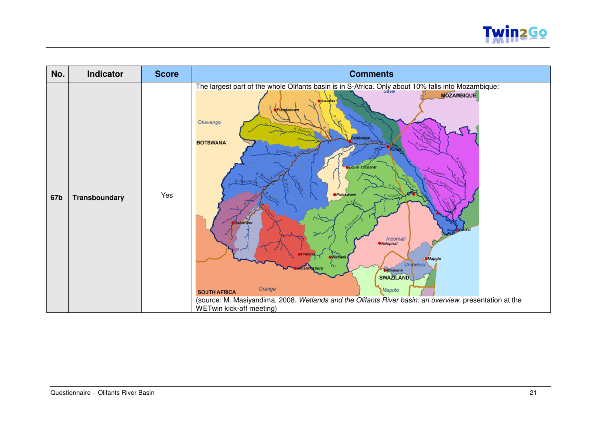

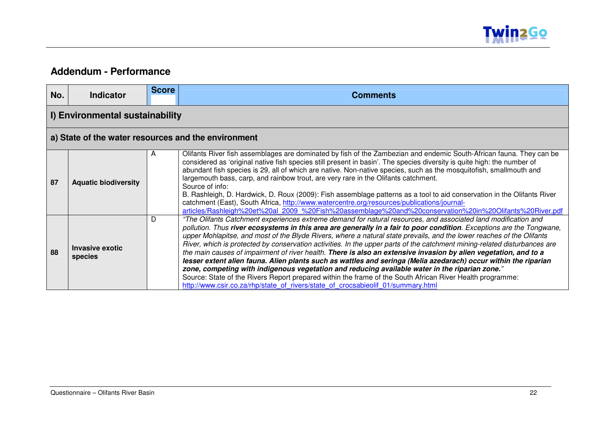

### **Addendum - Performance**

| No. | <b>Indicator</b>                                    | <b>Score</b> | <b>Comments</b>                                                                                                                                                                                                                                                                                                                                                                                                                                                                                                                                                                                                                                                                                                                                                                                                                                                                                                                                                                                                                         |  |  |  |
|-----|-----------------------------------------------------|--------------|-----------------------------------------------------------------------------------------------------------------------------------------------------------------------------------------------------------------------------------------------------------------------------------------------------------------------------------------------------------------------------------------------------------------------------------------------------------------------------------------------------------------------------------------------------------------------------------------------------------------------------------------------------------------------------------------------------------------------------------------------------------------------------------------------------------------------------------------------------------------------------------------------------------------------------------------------------------------------------------------------------------------------------------------|--|--|--|
|     | I) Environmental sustainability                     |              |                                                                                                                                                                                                                                                                                                                                                                                                                                                                                                                                                                                                                                                                                                                                                                                                                                                                                                                                                                                                                                         |  |  |  |
|     | a) State of the water resources and the environment |              |                                                                                                                                                                                                                                                                                                                                                                                                                                                                                                                                                                                                                                                                                                                                                                                                                                                                                                                                                                                                                                         |  |  |  |
| 87  | <b>Aquatic biodiversity</b>                         | A            | Olifants River fish assemblages are dominated by fish of the Zambezian and endemic South-African fauna. They can be<br>considered as 'original native fish species still present in basin'. The species diversity is quite high: the number of<br>abundant fish species is 29, all of which are native. Non-native species, such as the mosquitofish, smallmouth and<br>largemouth bass, carp, and rainbow trout, are very rare in the Olifants catchment.<br>Source of info:<br>B. Rashleigh, D. Hardwick, D. Roux (2009): Fish assemblage patterns as a tool to aid conservation in the Olifants River<br>catchment (East), South Africa, http://www.watercentre.org/resources/publications/journal-<br>articles/Rashleigh%20et%20al 2009 %20Fish%20assemblage%20and%20conservation%20in%20Olifants%20River.pdf                                                                                                                                                                                                                       |  |  |  |
| 88  | <b>Invasive exotic</b><br>species                   | D            | "The Olifants Catchment experiences extreme demand for natural resources, and associated land modification and<br>pollution. Thus river ecosystems in this area are generally in a fair to poor condition. Exceptions are the Tongwane,<br>upper Mohlapitse, and most of the Blyde Rivers, where a natural state prevails, and the lower reaches of the Olifants<br>River, which is protected by conservation activities. In the upper parts of the catchment mining-related disturbances are<br>the main causes of impairment of river health. There is also an extensive invasion by alien vegetation, and to a<br>lesser extent alien fauna. Alien plants such as wattles and seringa (Melia azedarach) occur within the riparian<br>zone, competing with indigenous vegetation and reducing available water in the riparian zone."<br>Source: State of the Rivers Report prepared within the frame of the South African River Health programme:<br>http://www.csir.co.za/rhp/state_of_rivers/state_of_crocsabieolif_01/summary.html |  |  |  |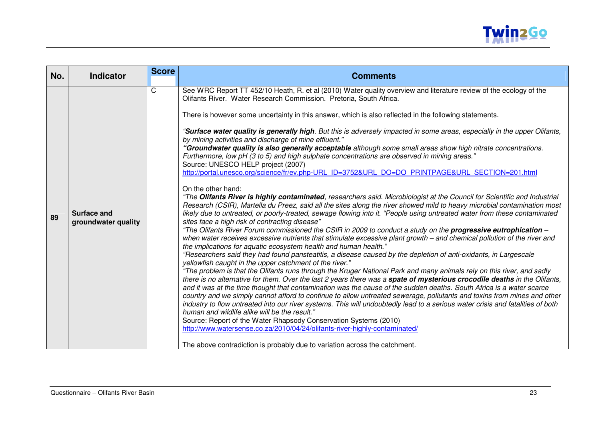

| $\mathsf{C}$<br>See WRC Report TT 452/10 Heath, R. et al (2010) Water quality overview and literature review of the ecology of the<br>Olifants River. Water Research Commission. Pretoria, South Africa.<br>There is however some uncertainty in this answer, which is also reflected in the following statements.                                                                                                                                                                                                                                                                                                                                                                                                                                                                                                                                                                                                                                                                                                                                                                                                                                                                                                                                                                                                                                                                                                                                                                                                                                                                                                                                                                                                                                                                                                                                                                                                                                                                                                                                                                                                                                                                                                                                                                                                                                                                                                                                                                         | No. | <b>Score</b><br><b>Indicator</b> |
|--------------------------------------------------------------------------------------------------------------------------------------------------------------------------------------------------------------------------------------------------------------------------------------------------------------------------------------------------------------------------------------------------------------------------------------------------------------------------------------------------------------------------------------------------------------------------------------------------------------------------------------------------------------------------------------------------------------------------------------------------------------------------------------------------------------------------------------------------------------------------------------------------------------------------------------------------------------------------------------------------------------------------------------------------------------------------------------------------------------------------------------------------------------------------------------------------------------------------------------------------------------------------------------------------------------------------------------------------------------------------------------------------------------------------------------------------------------------------------------------------------------------------------------------------------------------------------------------------------------------------------------------------------------------------------------------------------------------------------------------------------------------------------------------------------------------------------------------------------------------------------------------------------------------------------------------------------------------------------------------------------------------------------------------------------------------------------------------------------------------------------------------------------------------------------------------------------------------------------------------------------------------------------------------------------------------------------------------------------------------------------------------------------------------------------------------------------------------------------------------|-----|----------------------------------|
| "Surface water quality is generally high. But this is adversely impacted in some areas, especially in the upper Olifants,<br>by mining activities and discharge of mine effluent."<br>"Groundwater quality is also generally acceptable although some small areas show high nitrate concentrations.<br>Furthermore, low pH (3 to 5) and high sulphate concentrations are observed in mining areas."<br>Source: UNESCO HELP project (2007)<br>http://portal.unesco.org/science/fr/ev.php-URL ID=3752&URL DO=DO PRINTPAGE&URL SECTION=201.html<br>On the other hand:<br>"The Olifants River is highly contaminated, researchers said. Microbiologist at the Council for Scientific and Industrial<br>Research (CSIR), Martella du Preez, said all the sites along the river showed mild to heavy microbial contamination most<br><b>Surface and</b><br>likely due to untreated, or poorly-treated, sewage flowing into it. "People using untreated water from these contaminated<br>89<br>sites face a high risk of contracting disease"<br>groundwater quality<br>"The Olifants River Forum commissioned the CSIR in 2009 to conduct a study on the progressive eutrophication -<br>when water receives excessive nutrients that stimulate excessive plant growth - and chemical pollution of the river and<br>the implications for aquatic ecosystem health and human health."<br>"Researchers said they had found pansteatitis, a disease caused by the depletion of anti-oxidants, in Largescale<br>yellowfish caught in the upper catchment of the river."<br>"The problem is that the Olifants runs through the Kruger National Park and many animals rely on this river, and sadly<br>there is no alternative for them. Over the last 2 years there was a spate of mysterious crocodile deaths in the Olifants,<br>and it was at the time thought that contamination was the cause of the sudden deaths. South Africa is a water scarce<br>country and we simply cannot afford to continue to allow untreated sewerage, pollutants and toxins from mines and other<br>industry to flow untreated into our river systems. This will undoubtedly lead to a serious water crisis and fatalities of both<br>human and wildlife alike will be the result."<br>Source: Report of the Water Rhapsody Conservation Systems (2010)<br>http://www.watersense.co.za/2010/04/24/olifants-river-highly-contaminated/<br>The above contradiction is probably due to variation across the catchment. |     |                                  |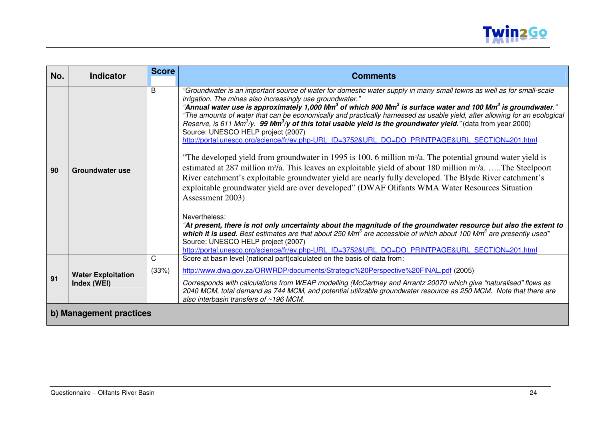

| No. | <b>Indicator</b>                         | <b>Score</b> | <b>Comments</b>                                                                                                                                                                                                                                                                                                                                                                                                                                                                                                                                                                                                                                                                                                                                                                                                                                                                                                                                                                                                                                                                                                                                                                                                                                                                                                                                                                                                                                                                                                                                                                                                                                                                     |  |  |  |
|-----|------------------------------------------|--------------|-------------------------------------------------------------------------------------------------------------------------------------------------------------------------------------------------------------------------------------------------------------------------------------------------------------------------------------------------------------------------------------------------------------------------------------------------------------------------------------------------------------------------------------------------------------------------------------------------------------------------------------------------------------------------------------------------------------------------------------------------------------------------------------------------------------------------------------------------------------------------------------------------------------------------------------------------------------------------------------------------------------------------------------------------------------------------------------------------------------------------------------------------------------------------------------------------------------------------------------------------------------------------------------------------------------------------------------------------------------------------------------------------------------------------------------------------------------------------------------------------------------------------------------------------------------------------------------------------------------------------------------------------------------------------------------|--|--|--|
| 90  | <b>Groundwater use</b>                   | B            | "Groundwater is an important source of water for domestic water supply in many small towns as well as for small-scale<br>irrigation. The mines also increasingly use groundwater."<br>"Annual water use is approximately 1,000 Mm <sup>3</sup> of which 900 Mm <sup>3</sup> is surface water and 100 Mm <sup>3</sup> is groundwater."<br>"The amounts of water that can be economically and practically harnessed as usable yield, after allowing for an ecological<br>Reserve, is 611 Mm <sup>3</sup> /y. 99 Mm <sup>3</sup> /y of this total usable yield is the groundwater yield." (data from year 2000)<br>Source: UNESCO HELP project (2007)<br>http://portal.unesco.org/science/fr/ev.php-URL ID=3752&URL DO=DO PRINTPAGE&URL SECTION=201.html<br>"The developed yield from groundwater in 1995 is 100. 6 million m <sup>3</sup> /a. The potential ground water yield is<br>estimated at 287 million m <sup>3</sup> /a. This leaves an exploitable yield of about 180 million m <sup>3</sup> /a. The Steelpoort<br>River catchment's exploitable groundwater yield are nearly fully developed. The Blyde River catchment's<br>exploitable groundwater yield are over developed" (DWAF Olifants WMA Water Resources Situation<br>Assessment 2003)<br>Nevertheless:<br>"At present, there is not only uncertainty about the magnitude of the groundwater resource but also the extent to<br>which it is used. Best estimates are that about 250 Mm <sup>3</sup> are accessible of which about 100 Mm <sup>3</sup> are presently used"<br>Source: UNESCO HELP project (2007)<br>http://portal.unesco.org/science/fr/ev.php-URL ID=3752&URL DO=DO PRINTPAGE&URL SECTION=201.html |  |  |  |
|     |                                          | C            | Score at basin level (national part)calculated on the basis of data from:                                                                                                                                                                                                                                                                                                                                                                                                                                                                                                                                                                                                                                                                                                                                                                                                                                                                                                                                                                                                                                                                                                                                                                                                                                                                                                                                                                                                                                                                                                                                                                                                           |  |  |  |
|     |                                          | (33%)        | http://www.dwa.gov.za/ORWRDP/documents/Strategic%20Perspective%20FINAL.pdf (2005)                                                                                                                                                                                                                                                                                                                                                                                                                                                                                                                                                                                                                                                                                                                                                                                                                                                                                                                                                                                                                                                                                                                                                                                                                                                                                                                                                                                                                                                                                                                                                                                                   |  |  |  |
| 91  | <b>Water Exploitation</b><br>Index (WEI) |              | Corresponds with calculations from WEAP modelling (McCartney and Arrantz 20070 which give "naturalised" flows as<br>2040 MCM, total demand as 744 MCM, and potential utilizable groundwater resource as 250 MCM. Note that there are<br>also interbasin transfers of $~196$ MCM.                                                                                                                                                                                                                                                                                                                                                                                                                                                                                                                                                                                                                                                                                                                                                                                                                                                                                                                                                                                                                                                                                                                                                                                                                                                                                                                                                                                                    |  |  |  |
|     | b) Management practices                  |              |                                                                                                                                                                                                                                                                                                                                                                                                                                                                                                                                                                                                                                                                                                                                                                                                                                                                                                                                                                                                                                                                                                                                                                                                                                                                                                                                                                                                                                                                                                                                                                                                                                                                                     |  |  |  |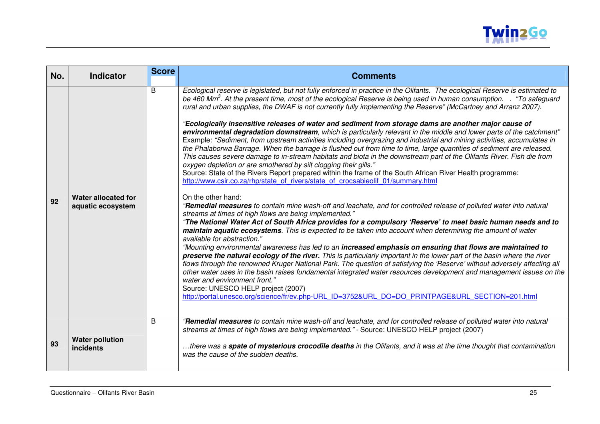

| No. | <b>Indicator</b>                           | <b>Score</b> | <b>Comments</b>                                                                                                                                                                                                                                                                                                                                                                                                                                                                                                                                                                                                                                                                                                                                                                                                                                                                                                                                                                                                                                                                                                                                                                                                                                                                                                                                                                                                                                                                                                                                                                                                                                                                                                                                                                                                                                                                                                                                                                                                                                                                                                                                                                                                                                                                                                                                                                                                        |
|-----|--------------------------------------------|--------------|------------------------------------------------------------------------------------------------------------------------------------------------------------------------------------------------------------------------------------------------------------------------------------------------------------------------------------------------------------------------------------------------------------------------------------------------------------------------------------------------------------------------------------------------------------------------------------------------------------------------------------------------------------------------------------------------------------------------------------------------------------------------------------------------------------------------------------------------------------------------------------------------------------------------------------------------------------------------------------------------------------------------------------------------------------------------------------------------------------------------------------------------------------------------------------------------------------------------------------------------------------------------------------------------------------------------------------------------------------------------------------------------------------------------------------------------------------------------------------------------------------------------------------------------------------------------------------------------------------------------------------------------------------------------------------------------------------------------------------------------------------------------------------------------------------------------------------------------------------------------------------------------------------------------------------------------------------------------------------------------------------------------------------------------------------------------------------------------------------------------------------------------------------------------------------------------------------------------------------------------------------------------------------------------------------------------------------------------------------------------------------------------------------------------|
| 92  | Water allocated for<br>aquatic ecosystem   | B            | Ecological reserve is legislated, but not fully enforced in practice in the Olifants. The ecological Reserve is estimated to<br>be 460 Mm <sup>3</sup> . At the present time, most of the ecological Reserve is being used in human consumption. . "To safeguard<br>rural and urban supplies, the DWAF is not currently fully implementing the Reserve" (McCartney and Arranz 2007).<br>"Ecologically insensitive releases of water and sediment from storage dams are another major cause of<br>environmental degradation downstream, which is particularly relevant in the middle and lower parts of the catchment"<br>Example: "Sediment, from upstream activities including overgrazing and industrial and mining activities, accumulates in<br>the Phalaborwa Barrage. When the barrage is flushed out from time to time, large quantities of sediment are released.<br>This causes severe damage to in-stream habitats and biota in the downstream part of the Olifants River. Fish die from<br>oxygen depletion or are smothered by silt clogging their gills."<br>Source: State of the Rivers Report prepared within the frame of the South African River Health programme:<br>http://www.csir.co.za/rhp/state_of_rivers/state_of_crocsabieolif_01/summary.html<br>On the other hand:<br>"Remedial measures to contain mine wash-off and leachate, and for controlled release of polluted water into natural<br>streams at times of high flows are being implemented."<br>"The National Water Act of South Africa provides for a compulsory 'Reserve' to meet basic human needs and to<br>maintain aquatic ecosystems. This is expected to be taken into account when determining the amount of water<br>available for abstraction."<br>"Mounting environmental awareness has led to an increased emphasis on ensuring that flows are maintained to<br>preserve the natural ecology of the river. This is particularly important in the lower part of the basin where the river<br>flows through the renowned Kruger National Park. The question of satisfying the 'Reserve' without adversely affecting all<br>other water uses in the basin raises fundamental integrated water resources development and management issues on the<br>water and environment front."<br>Source: UNESCO HELP project (2007)<br>http://portal.unesco.org/science/fr/ev.php-URL ID=3752&URL DO=DO PRINTPAGE&URL SECTION=201.html |
| 93  | <b>Water pollution</b><br><i>incidents</i> | B            | "Remedial measures to contain mine wash-off and leachate, and for controlled release of polluted water into natural<br>streams at times of high flows are being implemented." - Source: UNESCO HELP project (2007)<br>there was a <b>spate of mysterious crocodile deaths</b> in the Olifants, and it was at the time thought that contamination<br>was the cause of the sudden deaths.                                                                                                                                                                                                                                                                                                                                                                                                                                                                                                                                                                                                                                                                                                                                                                                                                                                                                                                                                                                                                                                                                                                                                                                                                                                                                                                                                                                                                                                                                                                                                                                                                                                                                                                                                                                                                                                                                                                                                                                                                                |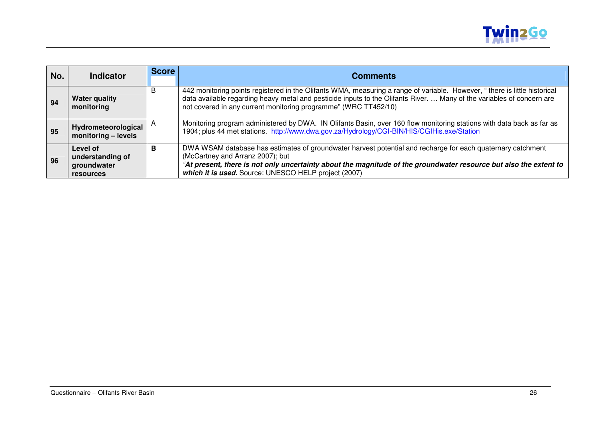

| No. | <b>Indicator</b>                                         | <b>Score</b> | <b>Comments</b>                                                                                                                                                                                                                                                                                                              |
|-----|----------------------------------------------------------|--------------|------------------------------------------------------------------------------------------------------------------------------------------------------------------------------------------------------------------------------------------------------------------------------------------------------------------------------|
| 94  | <b>Water quality</b><br>monitoring                       | B            | 442 monitoring points registered in the Olifants WMA, measuring a range of variable. However, "there is little historical<br>data available regarding heavy metal and pesticide inputs to the Olifants River.  Many of the variables of concern are<br>not covered in any current monitoring programme" (WRC TT452/10)       |
| 95  | Hydrometeorological<br>monitoring - levels               |              | Monitoring program administered by DWA. IN Olifants Basin, over 160 flow monitoring stations with data back as far as<br>1904; plus 44 met stations. http://www.dwa.gov.za/Hydrology/CGI-BIN/HIS/CGIHis.exe/Station                                                                                                          |
| 96  | Level of<br>understanding of<br>groundwater<br>resources | В            | DWA WSAM database has estimates of groundwater harvest potential and recharge for each quaternary catchment<br>(McCartney and Arranz 2007); but<br>"At present, there is not only uncertainty about the magnitude of the groundwater resource but also the extent to<br>which it is used. Source: UNESCO HELP project (2007) |